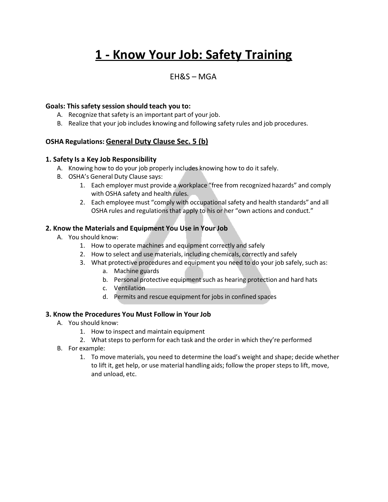# **1 - Know Your Job: Safety Training**

# EH&S – MGA

#### **Goals: This safety session should teach you to:**

- A. Recognize that safety is an important part of your job.
- B. Realize that your job includes knowing and following safety rules and job procedures.

#### **OSHA Regulations: General Duty Clause Sec. 5 (b)**

#### **1. Safety Is a Key Job Responsibility**

- A. Knowing how to do your job properly includes knowing how to do it safely.
- B. OSHA's General Duty Clause says:
	- 1. Each employer must provide a workplace "free from recognized hazards" and comply with OSHA safety and health rules.
	- 2. Each employee must "comply with occupational safety and health standards" and all OSHA rules and regulations that apply to his or her "own actions and conduct."

#### **2. Know the Materials and Equipment You Use in Your Job**

- A. You should know:
	- 1. How to operate machines and equipment correctly and safely
	- 2. How to select and use materials, including chemicals, correctly and safely
	- 3. What protective procedures and equipment you need to do your job safely, such as:
		- a. Machine guards
		- b. Personal protective equipment such as hearing protection and hard hats
		- c. Ventilation
		- d. Permits and rescue equipment for jobs in confined spaces

#### **3. Know the Procedures You Must Follow in Your Job**

- A. You should know:
	- 1. How to inspect and maintain equipment
	- 2. What steps to perform for each task and the order in which they're performed
- B. For example:
	- 1. To move materials, you need to determine the load's weight and shape; decide whether to lift it, get help, or use material handling aids; follow the proper steps to lift, move, and unload, etc.